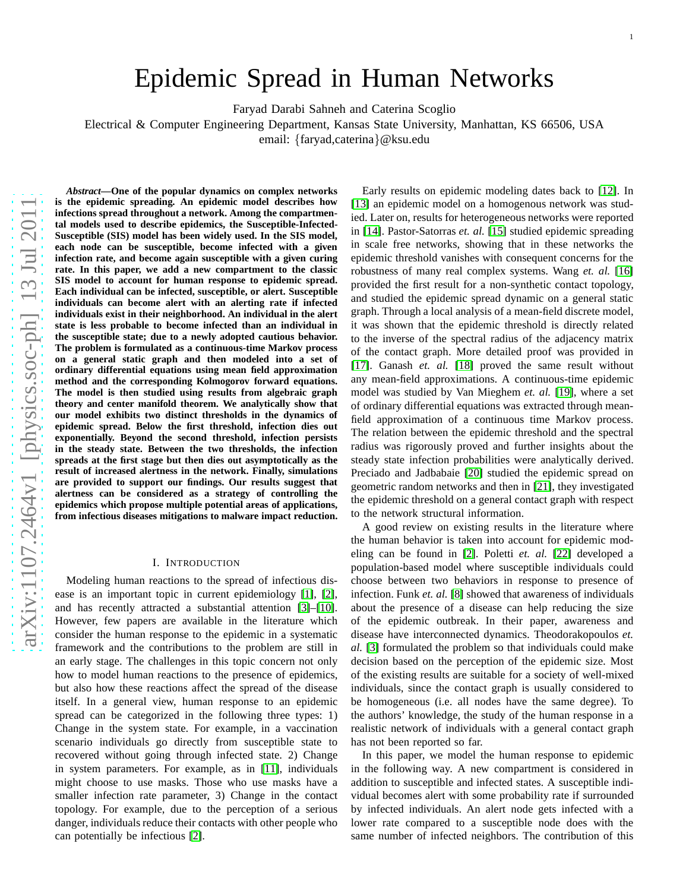# Epidemic Spread in Human Networks

Faryad Darabi Sahneh and Caterina Scoglio

Electrical & Computer Engineering Department, Kansas State University, Manhattan, KS 66506, USA

email: {faryad,caterina}@ksu.edu

*Abstract***—One of the popular dynamics on complex networks is the epidemic spreading. An epidemic model describes how infections spread throughout a network. Among the compartmental models used to describe epidemics, the Susceptible-Infected-Susceptible (SIS) model has been widely used. In the SIS model, each node can be susceptible, become infected with a given infection rate, and become again susceptible with a given curing rate. In this paper, we add a new compartment to the classic SIS model to account for human response to epidemic spread. Each individual can be infected, susceptible, or alert. Susceptible individuals can become alert with an alerting rate if infected individuals exist in their neighborhood. An individual in the alert state is less probable to become infected than an individual in the susceptible state; due to a newly adopted cautious behavior. The problem is formulated as a continuous-time Markov process on a general static graph and then modeled into a set of ordinary differential equations using mean field approximation method and the corresponding Kolmogorov forward equations. The model is then studied using results from algebraic graph theory and center manifold theorem. We analytically show that our model exhibits two distinct thresholds in the dynamics of epidemic spread. Below the first threshold, infection dies out exponentially. Beyond the second threshold, infection persists in the steady state. Between the two thresholds, the infection spreads at the first stage but then dies out asymptotically as the result of increased alertness in the network. Finally, simulations are provided to support our findings. Our results suggest that alertness can be considered as a strategy of controlling the epidemics which propose multiple potential areas of applications, from infectious diseases mitigations to malware impact reduction.**

## I. INTRODUCTION

Modeling human reactions to the spread of infectious disease is an important topic in current epidemiology [\[1\]](#page-7-0), [\[2\]](#page-7-1), and has recently attracted a substantial attention [\[3\]](#page-7-2)–[\[10\]](#page-7-3). However, few papers are available in the literature which consider the human response to the epidemic in a systematic framework and the contributions to the problem are still in an early stage. The challenges in this topic concern not only how to model human reactions to the presence of epidemics, but also how these reactions affect the spread of the disease itself. In a general view, human response to an epidemic spread can be categorized in the following three types: 1) Change in the system state. For example, in a vaccination scenario individuals go directly from susceptible state to recovered without going through infected state. 2) Change in system parameters. For example, as in [\[11\]](#page-7-4), individuals might choose to use masks. Those who use masks have a smaller infection rate parameter, 3) Change in the contact topology. For example, due to the perception of a serious danger, individuals reduce their contacts with other people who can potentially be infectious [\[2\]](#page-7-1).

Early results on epidemic modeling dates back to [\[12\]](#page-7-5). In [\[13\]](#page-7-6) an epidemic model on a homogenous network was studied. Later on, results for heterogeneous networks were reported in [\[14\]](#page-7-7). Pastor-Satorras *et. al.* [\[15\]](#page-7-8) studied epidemic spreading in scale free networks, showing that in these networks the epidemic threshold vanishes with consequent concerns for the robustness of many real complex systems. Wang *et. al.* [\[16\]](#page-7-9) provided the first result for a non-synthetic contact topology, and studied the epidemic spread dynamic on a general static graph. Through a local analysis of a mean-field discrete model, it was shown that the epidemic threshold is directly related to the inverse of the spectral radius of the adjacency matrix of the contact graph. More detailed proof was provided in [\[17\]](#page-7-10). Ganash *et. al.* [\[18\]](#page-7-11) proved the same result without any mean-field approximations. A continuous-time epidemic model was studied by Van Mieghem *et. al.* [\[19\]](#page-7-12), where a set of ordinary differential equations was extracted through meanfield approximation of a continuous time Markov process. The relation between the epidemic threshold and the spectral radius was rigorously proved and further insights about the steady state infection probabilities were analytically derived. Preciado and Jadbabaie [\[20\]](#page-7-13) studied the epidemic spread on geometric random networks and then in [\[21\]](#page-7-14), they investigated the epidemic threshold on a general contact graph with respect to the network structural information.

A good review on existing results in the literature where the human behavior is taken into account for epidemic modeling can be found in [\[2\]](#page-7-1). Poletti *et. al.* [\[22\]](#page-7-15) developed a population-based model where susceptible individuals could choose between two behaviors in response to presence of infection. Funk *et. al.* [\[8\]](#page-7-16) showed that awareness of individuals about the presence of a disease can help reducing the size of the epidemic outbreak. In their paper, awareness and disease have interconnected dynamics. Theodorakopoulos *et. al.* [\[3\]](#page-7-2) formulated the problem so that individuals could make decision based on the perception of the epidemic size. Most of the existing results are suitable for a society of well-mixed individuals, since the contact graph is usually considered to be homogeneous (i.e. all nodes have the same degree). To the authors' knowledge, the study of the human response in a realistic network of individuals with a general contact graph has not been reported so far.

In this paper, we model the human response to epidemic in the following way. A new compartment is considered in addition to susceptible and infected states. A susceptible individual becomes alert with some probability rate if surrounded by infected individuals. An alert node gets infected with a lower rate compared to a susceptible node does with the same number of infected neighbors. The contribution of this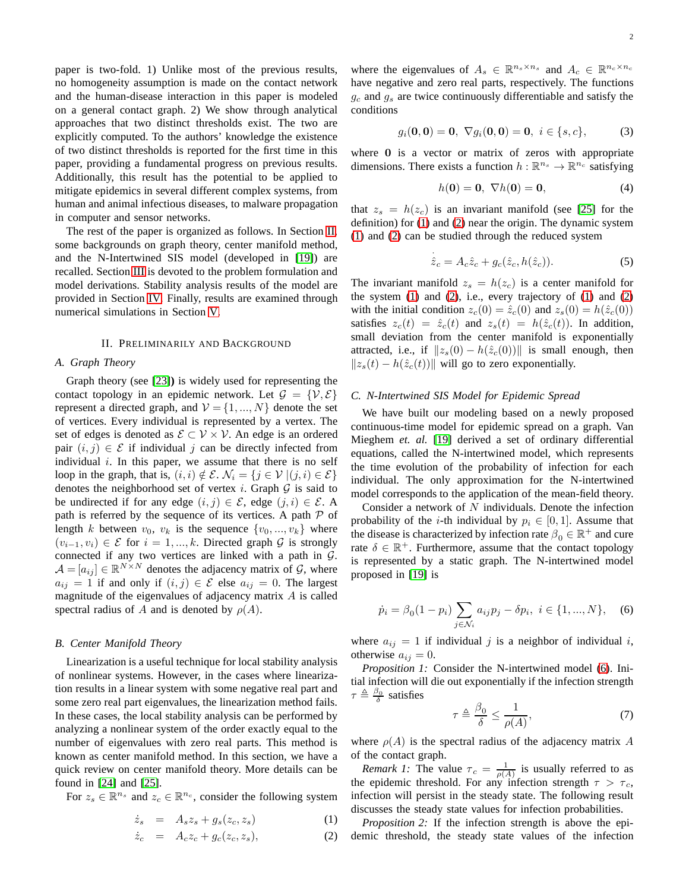paper is two-fold. 1) Unlike most of the previous results, no homogeneity assumption is made on the contact network and the human-disease interaction in this paper is modeled on a general contact graph. 2) We show through analytical approaches that two distinct thresholds exist. The two are explicitly computed. To the authors' knowledge the existence of two distinct thresholds is reported for the first time in this paper, providing a fundamental progress on previous results. Additionally, this result has the potential to be applied to mitigate epidemics in several different complex systems, from human and animal infectious diseases, to malware propagation in computer and sensor networks.

The rest of the paper is organized as follows. In Section [II,](#page-1-0) some backgrounds on graph theory, center manifold method, and the N-Intertwined SIS model (developed in [\[19\]](#page-7-12)) are recalled. Section [III](#page-2-0) is devoted to the problem formulation and model derivations. Stability analysis results of the model are provided in Section [IV.](#page-3-0) Finally, results are examined through numerical simulations in Section [V.](#page-6-0)

#### II. PRELIMINARILY AND BACKGROUND

#### <span id="page-1-0"></span>*A. Graph Theory*

Graph theory (see [\[23\]](#page-7-17)**)** is widely used for representing the contact topology in an epidemic network. Let  $\mathcal{G} = \{V, \mathcal{E}\}\$ represent a directed graph, and  $V = \{1, ..., N\}$  denote the set of vertices. Every individual is represented by a vertex. The set of edges is denoted as  $\mathcal{E} \subset \mathcal{V} \times \mathcal{V}$ . An edge is an ordered pair  $(i, j) \in \mathcal{E}$  if individual j can be directly infected from individual  $i$ . In this paper, we assume that there is no self loop in the graph, that is,  $(i, i) \notin \mathcal{E}$ .  $\mathcal{N}_i = \{j \in \mathcal{V} \mid (j, i) \in \mathcal{E}\}\$ denotes the neighborhood set of vertex i. Graph  $G$  is said to be undirected if for any edge  $(i, j) \in \mathcal{E}$ , edge  $(j, i) \in \mathcal{E}$ . A path is referred by the sequence of its vertices. A path  $P$  of length k between  $v_0$ ,  $v_k$  is the sequence  $\{v_0, ..., v_k\}$  where  $(v_{i-1}, v_i) \in \mathcal{E}$  for  $i = 1, ..., k$ . Directed graph  $\mathcal{G}$  is strongly connected if any two vertices are linked with a path in G.  $\mathcal{A} = [a_{ij}] \in \mathbb{R}^{N \times N}$  denotes the adjacency matrix of  $\mathcal{G}$ , where  $a_{ij} = 1$  if and only if  $(i, j) \in \mathcal{E}$  else  $a_{ij} = 0$ . The largest magnitude of the eigenvalues of adjacency matrix A is called spectral radius of A and is denoted by  $\rho(A)$ .

#### <span id="page-1-5"></span>*B. Center Manifold Theory*

Linearization is a useful technique for local stability analysis of nonlinear systems. However, in the cases where linearization results in a linear system with some negative real part and some zero real part eigenvalues, the linearization method fails. In these cases, the local stability analysis can be performed by analyzing a nonlinear system of the order exactly equal to the number of eigenvalues with zero real parts. This method is known as center manifold method. In this section, we have a quick review on center manifold theory. More details can be found in [\[24\]](#page-7-18) and [\[25\]](#page-7-19).

For  $z_s \in \mathbb{R}^{n_s}$  and  $z_c \in \mathbb{R}^{n_c}$ , consider the following system

<span id="page-1-1"></span>
$$
\dot{z}_s = A_s z_s + g_s(z_c, z_s) \tag{1}
$$

$$
\dot{z}_c = A_c z_c + g_c(z_c, z_s), \tag{2}
$$

where the eigenvalues of  $A_s \in \mathbb{R}^{n_s \times n_s}$  and  $A_c \in \mathbb{R}^{n_c \times n_c}$ have negative and zero real parts, respectively. The functions  $g_c$  and  $g_s$  are twice continuously differentiable and satisfy the conditions

$$
g_i(\mathbf{0},\mathbf{0}) = \mathbf{0}, \ \nabla g_i(\mathbf{0},\mathbf{0}) = \mathbf{0}, \ i \in \{s,c\},
$$
 (3)

where 0 is a vector or matrix of zeros with appropriate dimensions. There exists a function  $h : \mathbb{R}^{n_s} \to \mathbb{R}^{n_c}$  satisfying

$$
h(\mathbf{0}) = \mathbf{0}, \ \nabla h(\mathbf{0}) = \mathbf{0}, \tag{4}
$$

that  $z_s = h(z_c)$  is an invariant manifold (see [\[25\]](#page-7-19) for the definition) for [\(1\)](#page-1-1) and [\(2\)](#page-1-1) near the origin. The dynamic system [\(1\)](#page-1-1) and [\(2\)](#page-1-1) can be studied through the reduced system

$$
\dot{\hat{z}}_c = A_c \hat{z}_c + g_c(\hat{z}_c, h(\hat{z}_c)).
$$
\n(5)

The invariant manifold  $z_s = h(z_c)$  is a center manifold for the system  $(1)$  and  $(2)$ , i.e., every trajectory of  $(1)$  and  $(2)$ with the initial condition  $z_c(0) = \hat{z}_c(0)$  and  $z_s(0) = h(\hat{z}_c(0))$ satisfies  $z_c(t) = \hat{z}_c(t)$  and  $z_s(t) = h(\hat{z}_c(t))$ . In addition, small deviation from the center manifold is exponentially attracted, i.e., if  $||z_s(0) - h(\hat{z}_c(0))||$  is small enough, then  $||z_{s}(t) - h(\hat{z}_{c}(t))||$  will go to zero exponentially.

## <span id="page-1-3"></span>*C. N-Intertwined SIS Model for Epidemic Spread*

We have built our modeling based on a newly proposed continuous-time model for epidemic spread on a graph. Van Mieghem *et. al.* [\[19\]](#page-7-12) derived a set of ordinary differential equations, called the N-intertwined model, which represents the time evolution of the probability of infection for each individual. The only approximation for the N-intertwined model corresponds to the application of the mean-field theory.

Consider a network of  $N$  individuals. Denote the infection probability of the *i*-th individual by  $p_i \in [0, 1]$ . Assume that the disease is characterized by infection rate  $\beta_0 \in \mathbb{R}^+$  and cure rate  $\delta \in \mathbb{R}^+$ . Furthermore, assume that the contact topology is represented by a static graph. The N-intertwined model proposed in [\[19\]](#page-7-12) is

<span id="page-1-2"></span>
$$
\dot{p}_i = \beta_0 (1 - p_i) \sum_{j \in \mathcal{N}_i} a_{ij} p_j - \delta p_i, \ i \in \{1, ..., N\}, \quad (6)
$$

where  $a_{ij} = 1$  if individual j is a neighbor of individual i, otherwise  $a_{ij} = 0$ .

<span id="page-1-4"></span>*Proposition 1:* Consider the N-intertwined model [\(6\)](#page-1-2). Initial infection will die out exponentially if the infection strength  $\tau \triangleq \frac{\beta_0}{\delta}$  satisfies

$$
\tau \triangleq \frac{\beta_0}{\delta} \le \frac{1}{\rho(A)},\tag{7}
$$

where  $\rho(A)$  is the spectral radius of the adjacency matrix A of the contact graph.

*Remark 1:* The value  $\tau_c = \frac{1}{\rho(A)}$  is usually referred to as the epidemic threshold. For any infection strength  $\tau > \tau_c$ , infection will persist in the steady state. The following result discusses the steady state values for infection probabilities.

<span id="page-1-6"></span>*Proposition 2:* If the infection strength is above the epidemic threshold, the steady state values of the infection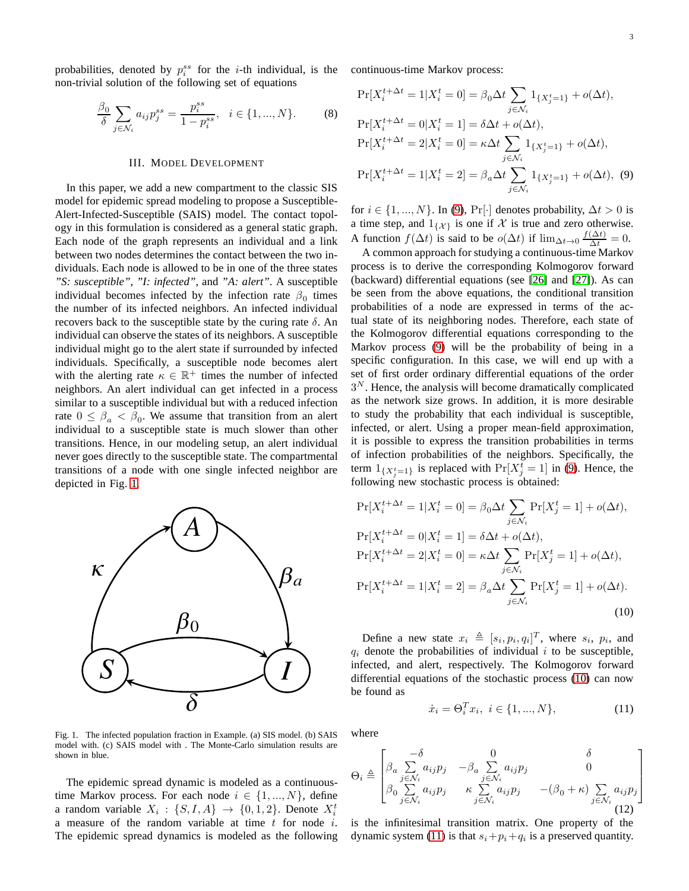probabilities, denoted by  $p_i^{ss}$  for the *i*-th individual, is the continuous-time Markov process: non-trivial solution of the following set of equations

<span id="page-2-5"></span>
$$
\frac{\beta_0}{\delta} \sum_{j \in \mathcal{N}_i} a_{ij} p_j^{ss} = \frac{p_i^{ss}}{1 - p_i^{ss}}, \quad i \in \{1, ..., N\}.
$$
 (8)

#### III. MODEL DEVELOPMENT

<span id="page-2-0"></span>In this paper, we add a new compartment to the classic SIS model for epidemic spread modeling to propose a Susceptible-Alert-Infected-Susceptible (SAIS) model. The contact topology in this formulation is considered as a general static graph. Each node of the graph represents an individual and a link between two nodes determines the contact between the two individuals. Each node is allowed to be in one of the three states *"S: susceptible"*, *"I: infected"*, and *"A: alert"*. A susceptible individual becomes infected by the infection rate  $\beta_0$  times the number of its infected neighbors. An infected individual recovers back to the susceptible state by the curing rate  $\delta$ . An individual can observe the states of its neighbors. A susceptible individual might go to the alert state if surrounded by infected individuals. Specifically, a susceptible node becomes alert with the alerting rate  $\kappa \in \mathbb{R}^+$  times the number of infected neighbors. An alert individual can get infected in a process similar to a susceptible individual but with a reduced infection rate  $0 \le \beta_a < \beta_0$ . We assume that transition from an alert individual to a susceptible state is much slower than other transitions. Hence, in our modeling setup, an alert individual never goes directly to the susceptible state. The compartmental transitions of a node with one single infected neighbor are depicted in Fig. [1.](#page-2-1)



<span id="page-2-1"></span>Fig. 1. The infected population fraction in Example. (a) SIS model. (b) SAIS model with. (c) SAIS model with . The Monte-Carlo simulation results are shown in blue.

The epidemic spread dynamic is modeled as a continuoustime Markov process. For each node  $i \in \{1, ..., N\}$ , define a random variable  $X_i: \{S, I, A\} \rightarrow \{0, 1, 2\}$ . Denote  $X_i^t$ a measure of the random variable at time  $t$  for node  $i$ . The epidemic spread dynamics is modeled as the following

$$
\Pr[X_i^{t+\Delta t} = 1 | X_i^t = 0] = \beta_0 \Delta t \sum_{j \in \mathcal{N}_i} 1_{\{X_j^t = 1\}} + o(\Delta t),
$$
  
\n
$$
\Pr[X_i^{t+\Delta t} = 0 | X_i^t = 1] = \delta \Delta t + o(\Delta t),
$$
  
\n
$$
\Pr[X_i^{t+\Delta t} = 2 | X_i^t = 0] = \kappa \Delta t \sum_{j \in \mathcal{N}_i} 1_{\{X_j^t = 1\}} + o(\Delta t),
$$
  
\n
$$
\Pr[X_i^{t+\Delta t} = 1 | X_i^t = 2] = \beta_a \Delta t \sum_{j \in \mathcal{N}_i} 1_{\{X_j^t = 1\}} + o(\Delta t),
$$
(9)

<span id="page-2-2"></span>for  $i \in \{1, ..., N\}$ . In [\(9\)](#page-2-2), Pr[·] denotes probability,  $\Delta t > 0$  is a time step, and  $1_{\{\mathcal{X}\}}$  is one if  $\mathcal X$  is true and zero otherwise. A function  $f(\Delta t)$  is said to be  $o(\Delta t)$  if  $\lim_{\Delta t \to 0} \frac{f(\Delta t)}{\Delta t} = 0$ .

A common approach for studying a continuous-time Markov process is to derive the corresponding Kolmogorov forward (backward) differential equations (see [\[26\]](#page-7-20) and [\[27\]](#page-7-21)). As can be seen from the above equations, the conditional transition probabilities of a node are expressed in terms of the actual state of its neighboring nodes. Therefore, each state of the Kolmogorov differential equations corresponding to the Markov process [\(9\)](#page-2-2) will be the probability of being in a specific configuration. In this case, we will end up with a set of first order ordinary differential equations of the order  $3<sup>N</sup>$ . Hence, the analysis will become dramatically complicated as the network size grows. In addition, it is more desirable to study the probability that each individual is susceptible, infected, or alert. Using a proper mean-field approximation, it is possible to express the transition probabilities in terms of infection probabilities of the neighbors. Specifically, the term  $1_{\{X_j^t=1\}}$  is replaced with  $\Pr[X_j^t=1]$  in [\(9\)](#page-2-2). Hence, the following new stochastic process is obtained:

$$
\Pr[X_i^{t+\Delta t} = 1 | X_i^t = 0] = \beta_0 \Delta t \sum_{j \in \mathcal{N}_i} \Pr[X_j^t = 1] + o(\Delta t),
$$
  
\n
$$
\Pr[X_i^{t+\Delta t} = 0 | X_i^t = 1] = \delta \Delta t + o(\Delta t),
$$
  
\n
$$
\Pr[X_i^{t+\Delta t} = 2 | X_i^t = 0] = \kappa \Delta t \sum_{j \in \mathcal{N}_i} \Pr[X_j^t = 1] + o(\Delta t),
$$
  
\n
$$
\Pr[X_i^{t+\Delta t} = 1 | X_i^t = 2] = \beta_a \Delta t \sum_{j \in \mathcal{N}_i} \Pr[X_j^t = 1] + o(\Delta t).
$$
\n(10)

Define a new state  $x_i \triangleq [s_i, p_i, q_i]^T$ , where  $s_i$ ,  $p_i$ , and  $q_i$  denote the probabilities of individual i to be susceptible, infected, and alert, respectively. The Kolmogorov forward differential equations of the stochastic process [\(10\)](#page-2-3) can now be found as

<span id="page-2-4"></span><span id="page-2-3"></span>
$$
\dot{x}_i = \Theta_i^T x_i, \ i \in \{1, ..., N\},\tag{11}
$$

where

$$
\Theta_i \triangleq \begin{bmatrix}\n-\delta & 0 & \delta \\
\beta_a \sum_{j \in \mathcal{N}_i} a_{ij} p_j & -\beta_a \sum_{j \in \mathcal{N}_i} a_{ij} p_j & 0 \\
\beta_0 \sum_{j \in \mathcal{N}_i} a_{ij} p_j & \kappa \sum_{j \in \mathcal{N}_i} a_{ij} p_j & -(\beta_0 + \kappa) \sum_{j \in \mathcal{N}_i} a_{ij} p_j\n\end{bmatrix}
$$
\n(12)

is the infinitesimal transition matrix. One property of the dynamic system [\(11\)](#page-2-4) is that  $s_i + p_i + q_i$  is a preserved quantity.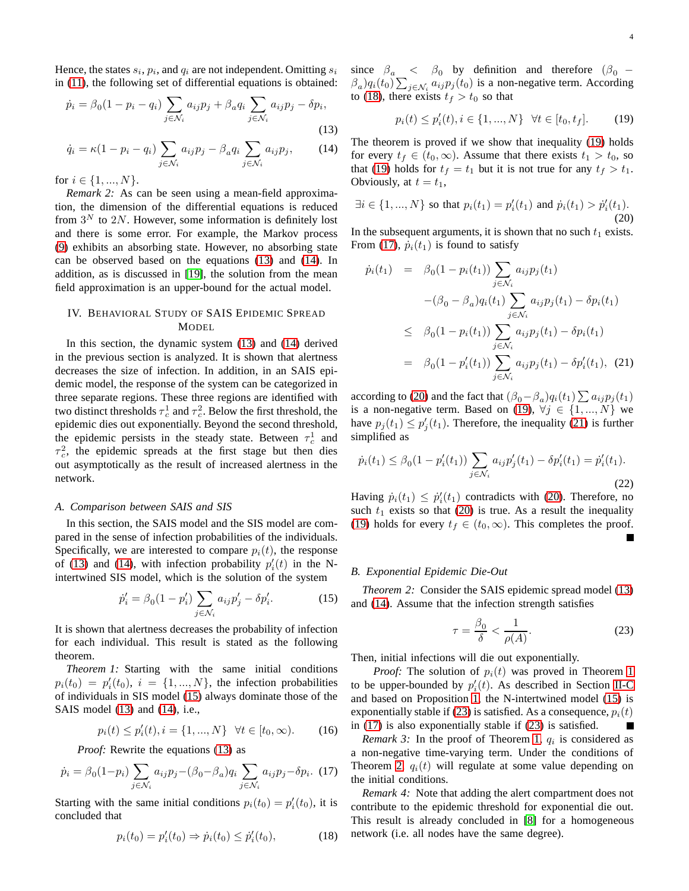Hence, the states  $s_i$ ,  $p_i$ , and  $q_i$  are not independent. Omitting  $s_i$ in [\(11\)](#page-2-4), the following set of differential equations is obtained:

$$
\dot{p}_i = \beta_0 (1 - p_i - q_i) \sum_{j \in \mathcal{N}_i} a_{ij} p_j + \beta_a q_i \sum_{j \in \mathcal{N}_i} a_{ij} p_j - \delta p_i,
$$
\n(13)

$$
\dot{q}_i = \kappa (1 - p_i - q_i) \sum_{j \in \mathcal{N}_i} a_{ij} p_j - \beta_a q_i \sum_{j \in \mathcal{N}_i} a_{ij} p_j, \qquad (14)
$$

for  $i \in \{1, ..., N\}$ .

*Remark 2:* As can be seen using a mean-field approximation, the dimension of the differential equations is reduced from  $3^N$  to 2N. However, some information is definitely lost and there is some error. For example, the Markov process [\(9\)](#page-2-2) exhibits an absorbing state. However, no absorbing state can be observed based on the equations [\(13\)](#page-3-1) and [\(14\)](#page-3-2). In addition, as is discussed in [\[19\]](#page-7-12), the solution from the mean field approximation is an upper-bound for the actual model.

# <span id="page-3-0"></span>IV. BEHAVIORAL STUDY OF SAIS EPIDEMIC SPREAD MODEL

In this section, the dynamic system [\(13\)](#page-3-1) and [\(14\)](#page-3-2) derived in the previous section is analyzed. It is shown that alertness decreases the size of infection. In addition, in an SAIS epidemic model, the response of the system can be categorized in three separate regions. These three regions are identified with two distinct thresholds  $\tau_c^1$  and  $\tau_c^2$ . Below the first threshold, the epidemic dies out exponentially. Beyond the second threshold, the epidemic persists in the steady state. Between  $\tau_c^1$  and  $\tau_c^2$ , the epidemic spreads at the first stage but then dies out asymptotically as the result of increased alertness in the network.

## *A. Comparison between SAIS and SIS*

In this section, the SAIS model and the SIS model are compared in the sense of infection probabilities of the individuals. Specifically, we are interested to compare  $p_i(t)$ , the response of [\(13\)](#page-3-1) and [\(14\)](#page-3-2), with infection probability  $p'_i(t)$  in the Nintertwined SIS model, which is the solution of the system

<span id="page-3-3"></span>
$$
\dot{p}'_i = \beta_0 (1 - p'_i) \sum_{j \in \mathcal{N}_i} a_{ij} p'_j - \delta p'_i.
$$
 (15)

It is shown that alertness decreases the probability of infection for each individual. This result is stated as the following theorem.

<span id="page-3-9"></span>*Theorem 1:* Starting with the same initial conditions  $p_i(t_0) = p'_i(t_0), i = \{1, ..., N\}$ , the infection probabilities of individuals in SIS model [\(15\)](#page-3-3) always dominate those of the SAIS model [\(13\)](#page-3-1) and [\(14\)](#page-3-2), i.e.,

$$
p_i(t) \le p'_i(t), i = \{1, ..., N\} \quad \forall t \in [t_0, \infty). \tag{16}
$$

*Proof:* Rewrite the equations [\(13\)](#page-3-1) as

<span id="page-3-6"></span>
$$
\dot{p}_i = \beta_0 (1 - p_i) \sum_{j \in \mathcal{N}_i} a_{ij} p_j - (\beta_0 - \beta_a) q_i \sum_{j \in \mathcal{N}_i} a_{ij} p_j - \delta p_i. \tag{17}
$$

Starting with the same initial conditions  $p_i(t_0) = p'_i(t_0)$ , it is concluded that

<span id="page-3-4"></span>
$$
p_i(t_0) = p'_i(t_0) \Rightarrow \dot{p}_i(t_0) \le \dot{p}'_i(t_0),
$$
 (18)

since  $\beta_a \leq \beta_0$  by definition and therefore  $(\beta_0 \beta_a) q_i(t_0) \sum_{j \in \mathcal{N}_i} a_{ij} p_j(t_0)$  is a non-negative term. According to [\(18\)](#page-3-4), there exists  $t_f > t_0$  so that

<span id="page-3-5"></span>
$$
p_i(t) \le p'_i(t), i \in \{1, ..., N\} \quad \forall t \in [t_0, t_f].
$$
 (19)

<span id="page-3-2"></span><span id="page-3-1"></span>The theorem is proved if we show that inequality [\(19\)](#page-3-5) holds for every  $t_f \in (t_0, \infty)$ . Assume that there exists  $t_1 > t_0$ , so that [\(19\)](#page-3-5) holds for  $t_f = t_1$  but it is not true for any  $t_f > t_1$ . Obviously, at  $t = t_1$ ,

<span id="page-3-7"></span>
$$
\exists i \in \{1, ..., N\} \text{ so that } p_i(t_1) = p'_i(t_1) \text{ and } \dot{p}_i(t_1) > \dot{p}'_i(t_1). \tag{20}
$$

In the subsequent arguments, it is shown that no such  $t_1$  exists. From [\(17\)](#page-3-6),  $\dot{p}_i(t_1)$  is found to satisfy

<span id="page-3-8"></span>
$$
\dot{p}_i(t_1) = \beta_0 (1 - p_i(t_1)) \sum_{j \in \mathcal{N}_i} a_{ij} p_j(t_1) \n- (\beta_0 - \beta_a) q_i(t_1) \sum_{j \in \mathcal{N}_i} a_{ij} p_j(t_1) - \delta p_i(t_1) \n\leq \beta_0 (1 - p_i(t_1)) \sum_{j \in \mathcal{N}_i} a_{ij} p_j(t_1) - \delta p_i(t_1) \n= \beta_0 (1 - p'_i(t_1)) \sum_{j \in \mathcal{N}_i} a_{ij} p_j(t_1) - \delta p'_i(t_1), \quad (21)
$$

according to [\(20\)](#page-3-7) and the fact that  $(\beta_0 - \beta_a)q_i(t_1) \sum a_{ij}p_j(t_1)$ is a non-negative term. Based on [\(19\)](#page-3-5),  $\forall j \in \{1, ..., N\}$  we have  $p_j(t_1) \leq p'_j(t_1)$ . Therefore, the inequality [\(21\)](#page-3-8) is further simplified as

$$
\dot{p}_i(t_1) \le \beta_0 (1 - p_i'(t_1)) \sum_{j \in \mathcal{N}_i} a_{ij} p_j'(t_1) - \delta p_i'(t_1) = \dot{p}_i'(t_1).
$$
\n(22)

Having  $\dot{p}_i(t_1) \leq \dot{p}'_i(t_1)$  contradicts with [\(20\)](#page-3-7). Therefore, no such  $t_1$  exists so that [\(20\)](#page-3-7) is true. As a result the inequality [\(19\)](#page-3-5) holds for every  $t_f \in (t_0, \infty)$ . This completes the proof. Г

#### <span id="page-3-11"></span>*B. Exponential Epidemic Die-Out*

*Theorem 2:* Consider the SAIS epidemic spread model [\(13\)](#page-3-1) and [\(14\)](#page-3-2). Assume that the infection strength satisfies

<span id="page-3-10"></span>
$$
\tau = \frac{\beta_0}{\delta} < \frac{1}{\rho(A)}.\tag{23}
$$

Then, initial infections will die out exponentially.

*Proof:* The solution of  $p_i(t)$  was proved in Theorem [1](#page-3-9) to be upper-bounded by  $p_i'(t)$ . As described in Section [II-C](#page-1-3) and based on Proposition [1,](#page-1-4) the N-intertwined model [\(15\)](#page-3-3) is exponentially stable if [\(23\)](#page-3-10) is satisfied. As a consequence,  $p_i(t)$ in [\(17\)](#page-3-6) is also exponentially stable if [\(23\)](#page-3-10) is satisfied.

*Remark 3:* In the proof of Theorem [1,](#page-3-9)  $q_i$  is considered as a non-negative time-varying term. Under the conditions of Theorem [2,](#page-3-11)  $q_i(t)$  will regulate at some value depending on the initial conditions.

*Remark 4:* Note that adding the alert compartment does not contribute to the epidemic threshold for exponential die out. This result is already concluded in [\[8\]](#page-7-16) for a homogeneous network (i.e. all nodes have the same degree).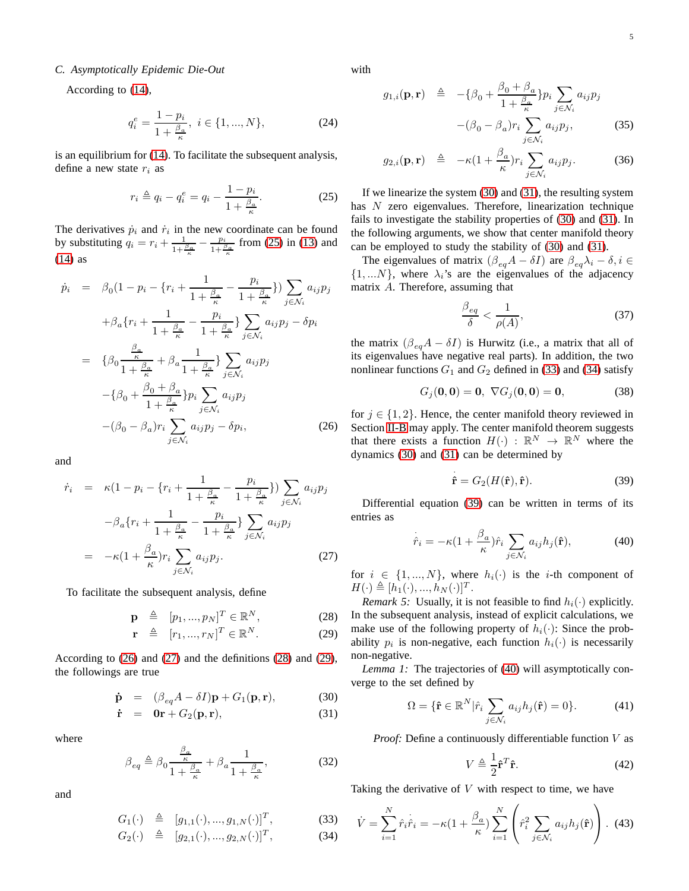## *C. Asymptotically Epidemic Die-Out*

According to [\(14\)](#page-3-2),

$$
q_i^e = \frac{1 - p_i}{1 + \frac{\beta_a}{\kappa}}, \ i \in \{1, ..., N\},\tag{24}
$$

is an equilibrium for [\(14\)](#page-3-2). To facilitate the subsequent analysis, define a new state  $r_i$  as

<span id="page-4-0"></span>
$$
r_i \triangleq q_i - q_i^e = q_i - \frac{1 - p_i}{1 + \frac{\beta_a}{\kappa}}.\tag{25}
$$

The derivatives  $\dot{p}_i$  and  $\dot{r}_i$  in the new coordinate can be found by substituting  $q_i = r_i + \frac{1}{1 + \frac{\beta_a}{\kappa}} - \frac{p_i}{1 + \frac{\beta_a}{\kappa}}$  from [\(25\)](#page-4-0) in [\(13\)](#page-3-1) and [\(14\)](#page-3-2) as

<span id="page-4-1"></span>
$$
\dot{p}_i = \beta_0 (1 - p_i - \{r_i + \frac{1}{1 + \frac{\beta_a}{\kappa}} - \frac{p_i}{1 + \frac{\beta_a}{\kappa}}\}) \sum_{j \in \mathcal{N}_i} a_{ij} p_j
$$
\n
$$
+ \beta_a \{r_i + \frac{1}{1 + \frac{\beta_a}{\kappa}} - \frac{p_i}{1 + \frac{\beta_a}{\kappa}}\} \sum_{j \in \mathcal{N}_i} a_{ij} p_j - \delta p_i
$$
\n
$$
= \{\beta_0 \frac{\frac{\beta_a}{\kappa}}{1 + \frac{\beta_a}{\kappa}} + \beta_a \frac{1}{1 + \frac{\beta_a}{\kappa}}\} \sum_{j \in \mathcal{N}_i} a_{ij} p_j
$$
\n
$$
- \{\beta_0 + \frac{\beta_0 + \beta_a}{1 + \frac{\beta_a}{\kappa}}\} p_i \sum_{j \in \mathcal{N}_i} a_{ij} p_j
$$
\n
$$
- (\beta_0 - \beta_a) r_i \sum_{j \in \mathcal{N}_i} a_{ij} p_j - \delta p_i,
$$
\n(26)

and

<span id="page-4-2"></span>
$$
\dot{r}_i = \kappa (1 - p_i - \{r_i + \frac{1}{1 + \frac{\beta_a}{\kappa}} - \frac{p_i}{1 + \frac{\beta_a}{\kappa}}\}) \sum_{j \in \mathcal{N}_i} a_{ij} p_j
$$

$$
- \beta_a \{r_i + \frac{1}{1 + \frac{\beta_a}{\kappa}} - \frac{p_i}{1 + \frac{\beta_a}{\kappa}}\} \sum_{j \in \mathcal{N}_i} a_{ij} p_j
$$

$$
= -\kappa (1 + \frac{\beta_a}{\kappa}) r_i \sum_{j \in \mathcal{N}_i} a_{ij} p_j. \tag{27}
$$

To facilitate the subsequent analysis, define

<span id="page-4-3"></span>
$$
\mathbf{p} \quad \triangleq \quad [p_1, ..., p_N]^T \in \mathbb{R}^N, \tag{28}
$$

$$
\mathbf{r} \quad \triangleq \quad [r_1, ..., r_N]^T \in \mathbb{R}^N. \tag{29}
$$

According to [\(26\)](#page-4-1) and [\(27\)](#page-4-2) and the definitions [\(28\)](#page-4-3) and [\(29\)](#page-4-3), the followings are true

<span id="page-4-4"></span>
$$
\dot{\mathbf{p}} = (\beta_{eq}A - \delta I)\mathbf{p} + G_1(\mathbf{p}, \mathbf{r}), \tag{30}
$$

$$
\dot{\mathbf{r}} = \mathbf{0}\mathbf{r} + G_2(\mathbf{p}, \mathbf{r}), \tag{31}
$$

where

<span id="page-4-10"></span>
$$
\beta_{eq} \triangleq \beta_0 \frac{\frac{\beta_a}{\kappa}}{1 + \frac{\beta_a}{\kappa}} + \beta_a \frac{1}{1 + \frac{\beta_a}{\kappa}},\tag{32}
$$

and

<span id="page-4-5"></span>
$$
G_1(\cdot) \triangleq [g_{1,1}(\cdot), ..., g_{1,N}(\cdot)]^T, \tag{33}
$$

$$
G_2(\cdot) \triangleq [g_{2,1}(\cdot), ..., g_{2,N}(\cdot)]^T, \tag{34}
$$

with

$$
g_{1,i}(\mathbf{p}, \mathbf{r}) \triangleq -\{\beta_0 + \frac{\beta_0 + \beta_a}{1 + \frac{\beta_a}{\kappa}}\} p_i \sum_{j \in \mathcal{N}_i} a_{ij} p_j
$$

$$
-(\beta_0 - \beta_a) r_i \sum_{j \in \mathcal{N}_i} a_{ij} p_j, \qquad (35)
$$

$$
-(\beta_0 - \beta_a) t_i \sum_{j \in \mathcal{N}_i} a_{ij} p_j,
$$
 (33)

$$
g_{2,i}(\mathbf{p}, \mathbf{r}) \quad \triangleq \quad -\kappa (1 + \frac{\beta_a}{\kappa}) r_i \sum_{j \in \mathcal{N}_i} a_{ij} p_j. \tag{36}
$$

If we linearize the system [\(30\)](#page-4-4) and [\(31\)](#page-4-4), the resulting system has N zero eigenvalues. Therefore, linearization technique fails to investigate the stability properties of [\(30\)](#page-4-4) and [\(31\)](#page-4-4). In the following arguments, we show that center manifold theory can be employed to study the stability of [\(30\)](#page-4-4) and [\(31\)](#page-4-4).

The eigenvalues of matrix  $(\beta_{eq}A - \delta I)$  are  $\beta_{eq}\lambda_i - \delta, i \in$  $\{1,...N\}$ , where  $\lambda_i$ 's are the eigenvalues of the adjacency matrix A. Therefore, assuming that

<span id="page-4-9"></span>
$$
\frac{\beta_{eq}}{\delta} < \frac{1}{\rho(A)},\tag{37}
$$

the matrix  $(\beta_{eq}A - \delta I)$  is Hurwitz (i.e., a matrix that all of its eigenvalues have negative real parts). In addition, the two nonlinear functions  $G_1$  and  $G_2$  defined in [\(33\)](#page-4-5) and [\(34\)](#page-4-5) satisfy

<span id="page-4-11"></span>
$$
G_j(0,0) = 0, \ \nabla G_j(0,0) = 0,
$$
 (38)

for  $j \in \{1, 2\}$ . Hence, the center manifold theory reviewed in Section [II-B](#page-1-5) may apply. The center manifold theorem suggests that there exists a function  $H(\cdot) : \mathbb{R}^N \to \mathbb{R}^N$  where the dynamics [\(30\)](#page-4-4) and [\(31\)](#page-4-4) can be determined by

<span id="page-4-6"></span>
$$
\dot{\hat{\mathbf{r}}} = G_2(H(\hat{\mathbf{r}}), \hat{\mathbf{r}}).
$$
 (39)

Differential equation [\(39\)](#page-4-6) can be written in terms of its entries as

<span id="page-4-7"></span>
$$
\dot{\hat{r}}_i = -\kappa (1 + \frac{\beta_a}{\kappa}) \hat{r}_i \sum_{j \in \mathcal{N}_i} a_{ij} h_j(\hat{\mathbf{r}}), \tag{40}
$$

for  $i \in \{1, ..., N\}$ , where  $h_i(\cdot)$  is the *i*-th component of  $H(\cdot) \triangleq [h_1(\cdot), ..., h_N(\cdot)]^T$ .

<span id="page-4-8"></span>*Remark 5:* Usually, it is not feasible to find  $h_i(\cdot)$  explicitly. In the subsequent analysis, instead of explicit calculations, we make use of the following property of  $h_i(\cdot)$ : Since the probability  $p_i$  is non-negative, each function  $h_i(\cdot)$  is necessarily non-negative.

<span id="page-4-12"></span>*Lemma 1:* The trajectories of [\(40\)](#page-4-7) will asymptotically converge to the set defined by

$$
\Omega = \{ \hat{\mathbf{r}} \in \mathbb{R}^N | \hat{r}_i \sum_{j \in \mathcal{N}_i} a_{ij} h_j(\hat{\mathbf{r}}) = 0 \}.
$$
 (41)

*Proof:* Define a continuously differentiable function V as

$$
V \triangleq \frac{1}{2} \hat{\mathbf{r}}^T \hat{\mathbf{r}}.\tag{42}
$$

Taking the derivative of  $V$  with respect to time, we have

$$
\dot{V} = \sum_{i=1}^{N} \hat{r}_i \dot{\hat{r}}_i = -\kappa (1 + \frac{\beta_a}{\kappa}) \sum_{i=1}^{N} \left( \hat{r}_i^2 \sum_{j \in \mathcal{N}_i} a_{ij} h_j(\hat{\mathbf{r}}) \right).
$$
 (43)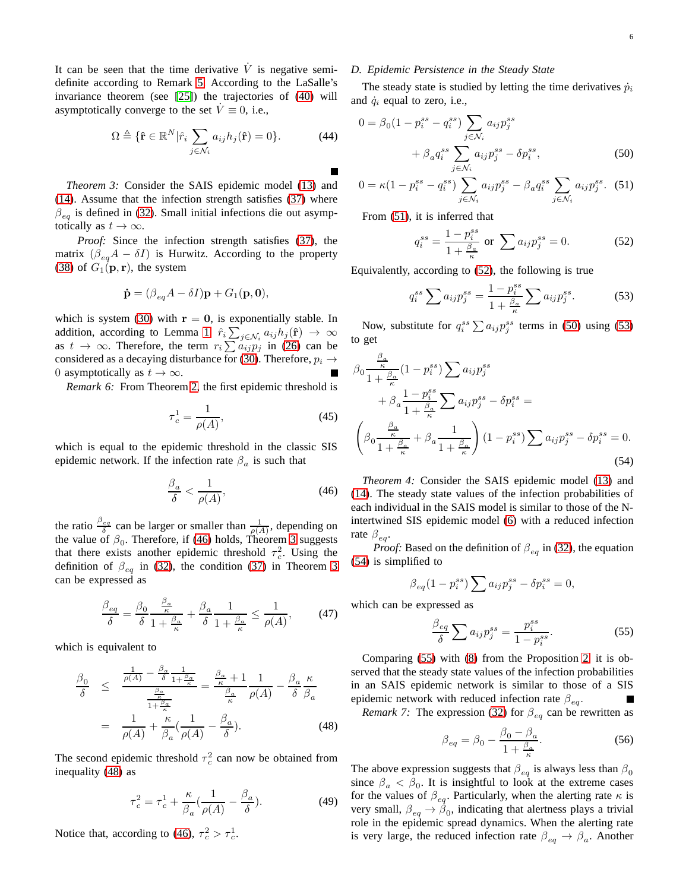It can be seen that the time derivative  $\dot{V}$  is negative semidefinite according to Remark [5.](#page-4-8) According to the LaSalle's invariance theorem (see [\[25\]](#page-7-19)) the trajectories of [\(40\)](#page-4-7) will asymptotically converge to the set  $V \equiv 0$ , i.e.,

$$
\Omega \triangleq \{ \hat{\mathbf{r}} \in \mathbb{R}^N | \hat{r}_i \sum_{j \in \mathcal{N}_i} a_{ij} h_j(\hat{\mathbf{r}}) = 0 \}.
$$
 (44)

<span id="page-5-1"></span>*Theorem 3:* Consider the SAIS epidemic model [\(13\)](#page-3-1) and [\(14\)](#page-3-2). Assume that the infection strength satisfies [\(37\)](#page-4-9) where  $\beta_{eq}$  is defined in [\(32\)](#page-4-10). Small initial infections die out asymptotically as  $t \to \infty$ .

*Proof:* Since the infection strength satisfies [\(37\)](#page-4-9), the matrix  $(\beta_{eq}A - \delta I)$  is Hurwitz. According to the property [\(38\)](#page-4-11) of  $G_1(\mathbf{p}, \mathbf{r})$ , the system

$$
\dot{\mathbf{p}} = (\beta_{eq}A - \delta I)\mathbf{p} + G_1(\mathbf{p}, \mathbf{0}),
$$

which is system [\(30\)](#page-4-4) with  $r = 0$ , is exponentially stable. In addition, according to Lemma [1,](#page-4-12)  $\hat{r}_i \sum_{j \in \mathcal{N}_i} a_{ij} h_j(\hat{\mathbf{r}}) \rightarrow \infty$ as  $t \to \infty$ . Therefore, the term  $r_i \sum a_{ij} p_j$  in [\(26\)](#page-4-1) can be considered as a decaying disturbance for [\(30\)](#page-4-4). Therefore,  $p_i \rightarrow$ 0 asymptotically as  $t \to \infty$ .

<span id="page-5-10"></span>*Remark 6:* From Theorem [2,](#page-3-11) the first epidemic threshold is

<span id="page-5-11"></span>
$$
\tau_c^1 = \frac{1}{\rho(A)},\tag{45}
$$

which is equal to the epidemic threshold in the classic SIS epidemic network. If the infection rate  $\beta_a$  is such that

<span id="page-5-0"></span>
$$
\frac{\beta_a}{\delta} < \frac{1}{\rho(A)},\tag{46}
$$

the ratio  $\frac{\beta_{eq}}{\delta}$  can be larger or smaller than  $\frac{1}{\rho(A)}$ , depending on the value of  $\beta_0$ . Therefore, if [\(46\)](#page-5-0) holds, Theorem [3](#page-5-1) suggests that there exists another epidemic threshold  $\tau_c^2$ . Using the definition of  $\beta_{eq}$  in [\(32\)](#page-4-10), the condition [\(37\)](#page-4-9) in Theorem [3](#page-5-1) can be expressed as

$$
\frac{\beta_{eq}}{\delta} = \frac{\beta_0}{\delta} \frac{\frac{\beta_a}{\kappa}}{1 + \frac{\beta_a}{\kappa}} + \frac{\beta_a}{\delta} \frac{1}{1 + \frac{\beta_a}{\kappa}} \le \frac{1}{\rho(A)},\tag{47}
$$

which is equivalent to

<span id="page-5-2"></span>
$$
\frac{\beta_0}{\delta} \le \frac{\frac{1}{\rho(A)} - \frac{\beta_a}{\delta} \frac{1}{1 + \frac{\beta_a}{\kappa}}}{\frac{\frac{\beta_a}{\kappa}}{1 + \frac{\beta_a}{\kappa}}} = \frac{\frac{\beta_a}{\kappa} + 1}{\frac{\beta_a}{\kappa}} \frac{1}{\rho(A)} - \frac{\beta_a}{\delta} \frac{\kappa}{\beta_a}
$$
\n
$$
= \frac{1}{\rho(A)} + \frac{\kappa}{\beta_a} (\frac{1}{\rho(A)} - \frac{\beta_a}{\delta}). \tag{48}
$$

The second epidemic threshold  $\tau_c^2$  can now be obtained from inequality [\(48\)](#page-5-2) as

<span id="page-5-12"></span>
$$
\tau_c^2 = \tau_c^1 + \frac{\kappa}{\beta_a} \left( \frac{1}{\rho(A)} - \frac{\beta_a}{\delta} \right). \tag{49}
$$

Notice that, according to [\(46\)](#page-5-0),  $\tau_c^2 > \tau_c^1$ .

## *D. Epidemic Persistence in the Steady State*

The steady state is studied by letting the time derivatives  $\dot{p}_i$ and  $\dot{q}_i$  equal to zero, i.e.,

$$
0 = \beta_0 (1 - p_i^{ss} - q_i^{ss}) \sum_{j \in \mathcal{N}_i} a_{ij} p_j^{ss}
$$

$$
+ \beta_a q_i^{ss} \sum_{j \in \mathcal{N}_i} a_{ij} p_j^{ss} - \delta p_i^{ss}, \qquad (50)
$$

$$
0 = \kappa (1 - p_i^{ss} - q_i^{ss}) \sum_{j \in \mathcal{N}_i} a_{ij} p_j^{ss} - \beta_a q_i^{ss} \sum_{j \in \mathcal{N}_i} a_{ij} p_j^{ss}.
$$
 (51)

From [\(51\)](#page-5-3), it is inferred that

<span id="page-5-5"></span><span id="page-5-4"></span><span id="page-5-3"></span>
$$
q_i^{ss} = \frac{1 - p_i^{ss}}{1 + \frac{\beta_a}{\kappa}} \text{ or } \sum a_{ij} p_j^{ss} = 0.
$$
 (52)

Equivalently, according to [\(52\)](#page-5-4), the following is true

<span id="page-5-6"></span>
$$
q_i^{ss} \sum a_{ij} p_j^{ss} = \frac{1 - p_i^{ss}}{1 + \frac{\beta_a}{\kappa}} \sum a_{ij} p_j^{ss}.
$$
 (53)

Now, substitute for  $q_i^{ss} \sum a_{ij} p_j^{ss}$  terms in [\(50\)](#page-5-5) using [\(53\)](#page-5-6) to get

$$
\beta_0 \frac{\frac{\beta_a}{\kappa}}{1 + \frac{\beta_a}{\kappa}} (1 - p_i^{ss}) \sum a_{ij} p_j^{ss}
$$
  
+ 
$$
\beta_a \frac{1 - p_i^{ss}}{1 + \frac{\beta_a}{\kappa}} \sum a_{ij} p_j^{ss} - \delta p_i^{ss} =
$$
  

$$
\left(\beta_0 \frac{\frac{\beta_a}{\kappa}}{1 + \frac{\beta_a}{\kappa}} + \beta_a \frac{1}{1 + \frac{\beta_a}{\kappa}}\right) (1 - p_i^{ss}) \sum a_{ij} p_j^{ss} - \delta p_i^{ss} = 0.
$$
  
(54)

<span id="page-5-9"></span>*Theorem 4:* Consider the SAIS epidemic model [\(13\)](#page-3-1) and [\(14\)](#page-3-2). The steady state values of the infection probabilities of each individual in the SAIS model is similar to those of the Nintertwined SIS epidemic model [\(6\)](#page-1-2) with a reduced infection rate  $\beta_{eq}$ .

*Proof:* Based on the definition of  $\beta_{eq}$  in [\(32\)](#page-4-10), the equation [\(54\)](#page-5-7) is simplified to

<span id="page-5-7"></span>
$$
\beta_{eq}(1-p_i^{ss})\sum a_{ij}p_j^{ss}-\delta p_i^{ss}=0,
$$

which can be expressed as

<span id="page-5-8"></span>
$$
\frac{\beta_{eq}}{\delta} \sum a_{ij} p_j^{ss} = \frac{p_i^{ss}}{1 - p_i^{ss}}.
$$
\n(55)

Comparing [\(55\)](#page-5-8) with [\(8\)](#page-2-5) from the Proposition [2,](#page-1-6) it is observed that the steady state values of the infection probabilities in an SAIS epidemic network is similar to those of a SIS epidemic network with reduced infection rate  $\beta_{eq}$ .

*Remark 7:* The expression [\(32\)](#page-4-10) for  $\beta_{eq}$  can be rewritten as

$$
\beta_{eq} = \beta_0 - \frac{\beta_0 - \beta_a}{1 + \frac{\beta_a}{\kappa}}.\tag{56}
$$

The above expression suggests that  $\beta_{eq}$  is always less than  $\beta_0$ since  $\beta_a < \beta_0$ . It is insightful to look at the extreme cases for the values of  $\beta_{eq}$ . Particularly, when the alerting rate  $\kappa$  is very small,  $\beta_{eq} \rightarrow \beta_0$ , indicating that alertness plays a trivial role in the epidemic spread dynamics. When the alerting rate is very large, the reduced infection rate  $\beta_{eq} \rightarrow \beta_a$ . Another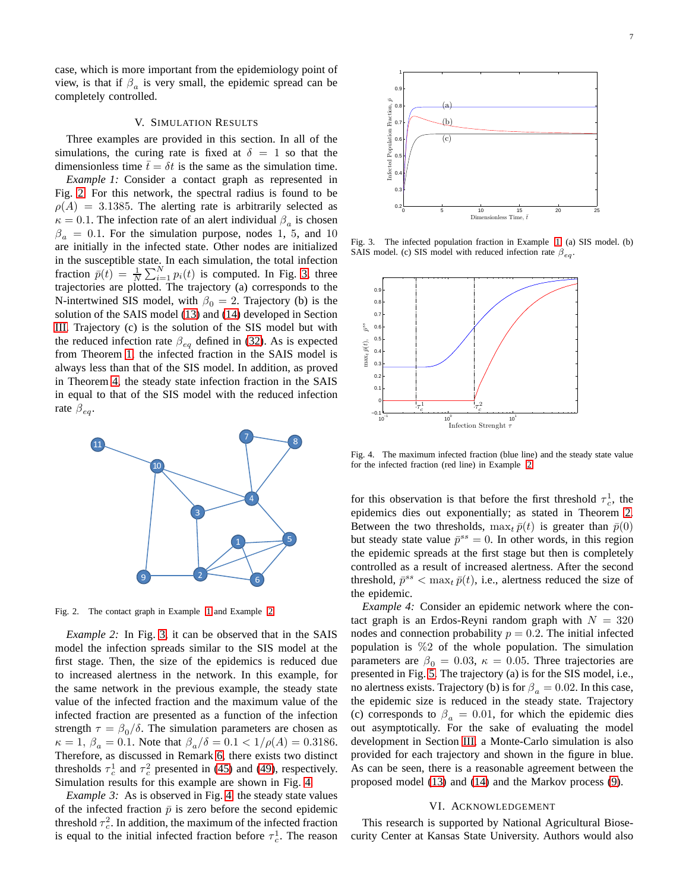case, which is more important from the epidemiology point of view, is that if  $\beta_a$  is very small, the epidemic spread can be completely controlled.

# V. SIMULATION RESULTS

<span id="page-6-0"></span>Three examples are provided in this section. In all of the simulations, the curing rate is fixed at  $\delta = 1$  so that the dimensionless time  $\bar{t} = \delta t$  is the same as the simulation time.

<span id="page-6-3"></span>*Example 1:* Consider a contact graph as represented in Fig. [2.](#page-6-1) For this network, the spectral radius is found to be  $\rho(A) = 3.1385$ . The alerting rate is arbitrarily selected as  $\kappa = 0.1$ . The infection rate of an alert individual  $\beta_a$  is chosen  $\beta_a = 0.1$ . For the simulation purpose, nodes 1, 5, and 10 are initially in the infected state. Other nodes are initialized in the susceptible state. In each simulation, the total infection fraction  $\bar{p}(t) = \frac{1}{N} \sum_{i=1}^{N} p_i(t)$  is computed. In Fig. [3,](#page-6-2) three trajectories are plotted. The trajectory (a) corresponds to the N-intertwined SIS model, with  $\beta_0 = 2$ . Trajectory (b) is the solution of the SAIS model [\(13\)](#page-3-1) and [\(14\)](#page-3-2) developed in Section [III.](#page-2-0) Trajectory (c) is the solution of the SIS model but with the reduced infection rate  $\beta_{eq}$  defined in [\(32\)](#page-4-10). As is expected from Theorem [1,](#page-3-9) the infected fraction in the SAIS model is always less than that of the SIS model. In addition, as proved in Theorem [4,](#page-5-9) the steady state infection fraction in the SAIS in equal to that of the SIS model with the reduced infection rate  $\beta_{ea}$ .



<span id="page-6-1"></span>Fig. 2. The contact graph in Example [1](#page-6-3) and Example [2.](#page-6-4)

<span id="page-6-4"></span>*Example 2:* In Fig. [3,](#page-6-2) it can be observed that in the SAIS model the infection spreads similar to the SIS model at the first stage. Then, the size of the epidemics is reduced due to increased alertness in the network. In this example, for the same network in the previous example, the steady state value of the infected fraction and the maximum value of the infected fraction are presented as a function of the infection strength  $\tau = \beta_0/\delta$ . The simulation parameters are chosen as  $\kappa = 1, \beta_a = 0.1$ . Note that  $\beta_a/\delta = 0.1 < 1/\rho(A) = 0.3186$ . Therefore, as discussed in Remark [6,](#page-5-10) there exists two distinct thresholds  $\tau_c^1$  and  $\tau_c^2$  presented in [\(45\)](#page-5-11) and [\(49\)](#page-5-12), respectively. Simulation results for this example are shown in Fig. [4.](#page-6-5)

*Example 3:* As is observed in Fig. [4,](#page-6-5) the steady state values of the infected fraction  $\bar{p}$  is zero before the second epidemic threshold  $\tau_c^2$ . In addition, the maximum of the infected fraction is equal to the initial infected fraction before  $\tau_c^1$ . The reason



<span id="page-6-2"></span>Fig. 3. The infected population fraction in Example [1.](#page-6-3) (a) SIS model. (b) SAIS model. (c) SIS model with reduced infection rate  $\beta_{eq}$ .



<span id="page-6-5"></span>Fig. 4. The maximum infected fraction (blue line) and the steady state value for the infected fraction (red line) in Example [2.](#page-6-4)

for this observation is that before the first threshold  $\tau_c^1$ , the epidemics dies out exponentially; as stated in Theorem [2.](#page-3-11) Between the two thresholds,  $\max_t \bar{p}(t)$  is greater than  $\bar{p}(0)$ but steady state value  $\bar{p}^{ss} = 0$ . In other words, in this region the epidemic spreads at the first stage but then is completely controlled as a result of increased alertness. After the second threshold,  $\bar{p}^{ss} < \max_t \bar{p}(t)$ , i.e., alertness reduced the size of the epidemic.

<span id="page-6-6"></span>*Example 4:* Consider an epidemic network where the contact graph is an Erdos-Reyni random graph with  $N = 320$ nodes and connection probability  $p = 0.2$ . The initial infected population is  $\%2$  of the whole population. The simulation parameters are  $\beta_0 = 0.03$ ,  $\kappa = 0.05$ . Three trajectories are presented in Fig. [5.](#page-7-22) The trajectory (a) is for the SIS model, i.e., no alertness exists. Trajectory (b) is for  $\beta_a = 0.02$ . In this case, the epidemic size is reduced in the steady state. Trajectory (c) corresponds to  $\beta_a = 0.01$ , for which the epidemic dies out asymptotically. For the sake of evaluating the model development in Section [III,](#page-2-0) a Monte-Carlo simulation is also provided for each trajectory and shown in the figure in blue. As can be seen, there is a reasonable agreement between the proposed model [\(13\)](#page-3-1) and [\(14\)](#page-3-2) and the Markov process [\(9\)](#page-2-2).

## VI. ACKNOWLEDGEMENT

This research is supported by National Agricultural Biosecurity Center at Kansas State University. Authors would also